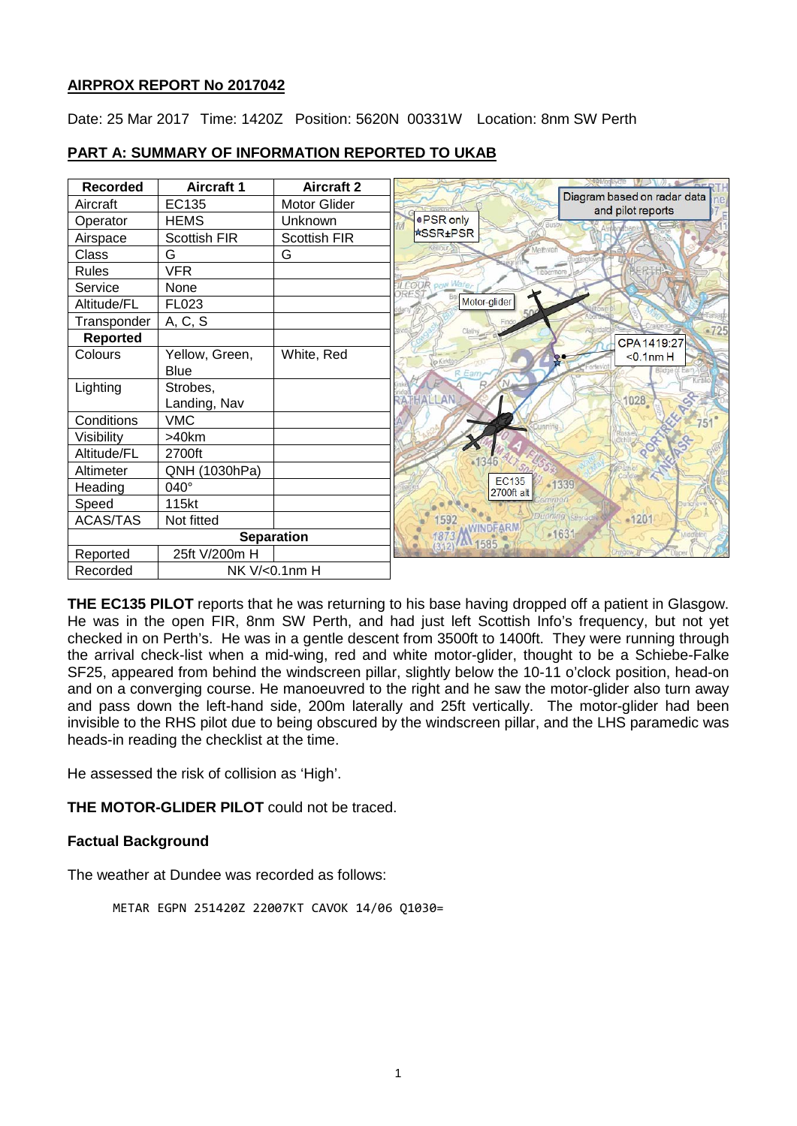# **AIRPROX REPORT No 2017042**

Date: 25 Mar 2017 Time: 1420Z Position: 5620N 00331W Location: 8nm SW Perth

| <b>Recorded</b> | <b>Aircraft 1</b>   | <b>Aircraft 2</b>   |                            |                                                  |  |  |  |
|-----------------|---------------------|---------------------|----------------------------|--------------------------------------------------|--|--|--|
| Aircraft        | EC135               | <b>Motor Glider</b> |                            | Diagram based on radar data<br>and pilot reports |  |  |  |
| Operator        | <b>HEMS</b>         | Unknown             | ●PSR only                  |                                                  |  |  |  |
| Airspace        | <b>Scottish FIR</b> | Scottish FIR        | <b>*SSR±PSR</b>            |                                                  |  |  |  |
| Class           | G                   | G                   | Methyer                    |                                                  |  |  |  |
| <b>Rules</b>    | <b>VFR</b>          |                     | Tibbermor                  |                                                  |  |  |  |
| Service         | None                |                     | LLOUR pow War              |                                                  |  |  |  |
| Altitude/FL     | FL023               |                     | Motor-glider<br>500        |                                                  |  |  |  |
| Transponder     | A, C, S             |                     |                            |                                                  |  |  |  |
| <b>Reported</b> |                     |                     | Clath                      | $-725$<br>CPA 1419:27                            |  |  |  |
| Colours         | Yellow, Green,      | White, Red          |                            | $<$ 0.1nm $H$                                    |  |  |  |
|                 | <b>Blue</b>         |                     | Ear                        |                                                  |  |  |  |
| Lighting        | Strobes,            |                     |                            |                                                  |  |  |  |
|                 | Landing, Nav        |                     | RATHALLAN                  | 1028                                             |  |  |  |
| Conditions      | <b>VMC</b>          |                     |                            |                                                  |  |  |  |
| Visibility      | >40km               |                     |                            |                                                  |  |  |  |
| Altitude/FL     | 2700ft              |                     |                            |                                                  |  |  |  |
| Altimeter       | QNH (1030hPa)       |                     |                            |                                                  |  |  |  |
| Heading         | 040°                |                     | <b>EC135</b><br>2700ft alt | -1339                                            |  |  |  |
| Speed           | 115kt               |                     |                            |                                                  |  |  |  |
| <b>ACAS/TAS</b> | Not fitted          |                     |                            | $-1201$                                          |  |  |  |
|                 |                     | <b>Separation</b>   | <b>IAM</b> 1585            | $-1631$                                          |  |  |  |
| Reported        | 25ft V/200m H       |                     |                            |                                                  |  |  |  |
| Recorded        |                     | NK V/<0.1nm H       |                            |                                                  |  |  |  |

# **PART A: SUMMARY OF INFORMATION REPORTED TO UKAB**

**THE EC135 PILOT** reports that he was returning to his base having dropped off a patient in Glasgow. He was in the open FIR, 8nm SW Perth, and had just left Scottish Info's frequency, but not yet checked in on Perth's. He was in a gentle descent from 3500ft to 1400ft. They were running through the arrival check-list when a mid-wing, red and white motor-glider, thought to be a Schiebe-Falke SF25, appeared from behind the windscreen pillar, slightly below the 10-11 o'clock position, head-on and on a converging course. He manoeuvred to the right and he saw the motor-glider also turn away and pass down the left-hand side, 200m laterally and 25ft vertically. The motor-glider had been invisible to the RHS pilot due to being obscured by the windscreen pillar, and the LHS paramedic was heads-in reading the checklist at the time.

He assessed the risk of collision as 'High'.

**THE MOTOR-GLIDER PILOT** could not be traced.

# **Factual Background**

The weather at Dundee was recorded as follows:

METAR EGPN 251420Z 22007KT CAVOK 14/06 Q1030=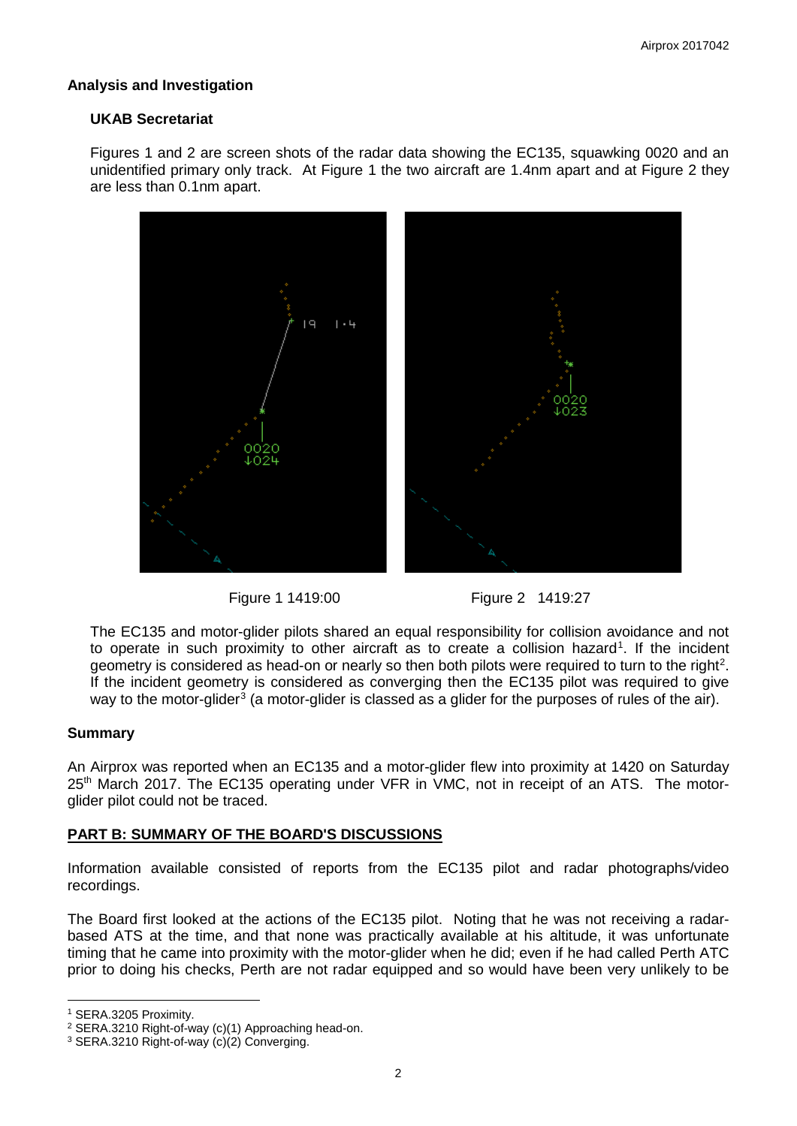# **Analysis and Investigation**

# **UKAB Secretariat**

Figures 1 and 2 are screen shots of the radar data showing the EC135, squawking 0020 and an unidentified primary only track. At Figure 1 the two aircraft are 1.4nm apart and at Figure 2 they are less than 0.1nm apart.







The EC135 and motor-glider pilots shared an equal responsibility for collision avoidance and not to operate in such proximity to other aircraft as to create a collision hazard<sup>[1](#page-1-0)</sup>. If the incident geometry is considered as head-on or nearly so then both pilots were required to turn to the right<sup>[2](#page-1-1)</sup>. If the incident geometry is considered as converging then the EC135 pilot was required to give way to the motor-glider<sup>[3](#page-1-2)</sup> (a motor-glider is classed as a glider for the purposes of rules of the air).

# **Summary**

An Airprox was reported when an EC135 and a motor-glider flew into proximity at 1420 on Saturday 25<sup>th</sup> March 2017. The EC135 operating under VFR in VMC, not in receipt of an ATS. The motorglider pilot could not be traced.

# **PART B: SUMMARY OF THE BOARD'S DISCUSSIONS**

Information available consisted of reports from the EC135 pilot and radar photographs/video recordings.

The Board first looked at the actions of the EC135 pilot. Noting that he was not receiving a radarbased ATS at the time, and that none was practically available at his altitude, it was unfortunate timing that he came into proximity with the motor-glider when he did; even if he had called Perth ATC prior to doing his checks, Perth are not radar equipped and so would have been very unlikely to be

 $\overline{\phantom{a}}$ 

<span id="page-1-0"></span><sup>1</sup> SERA.3205 Proximity.

<span id="page-1-1"></span><sup>2</sup> SERA.3210 Right-of-way (c)(1) Approaching head-on.

<span id="page-1-2"></span><sup>3</sup> SERA.3210 Right-of-way (c)(2) Converging.